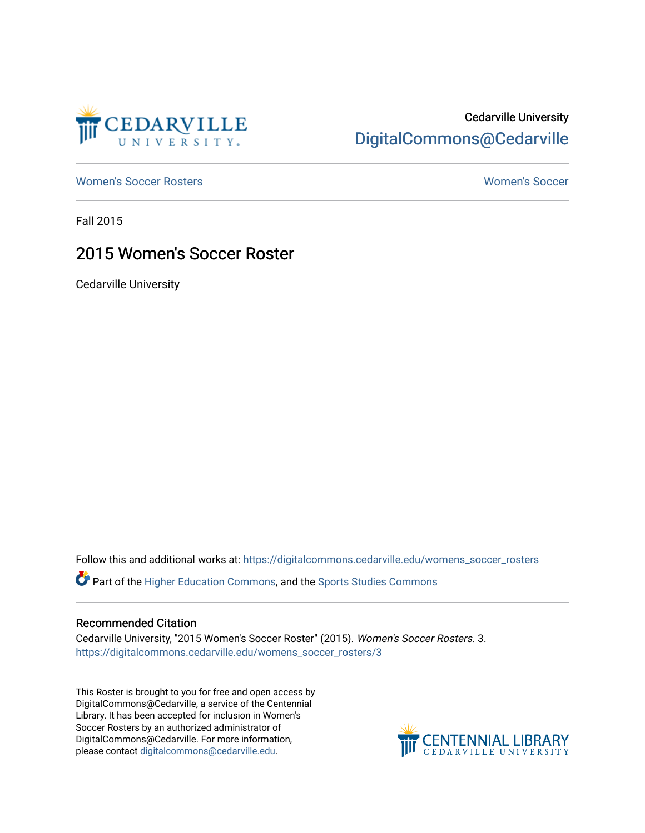

## Cedarville University [DigitalCommons@Cedarville](https://digitalcommons.cedarville.edu/)

[Women's Soccer Rosters](https://digitalcommons.cedarville.edu/womens_soccer_rosters) [Women's Soccer](https://digitalcommons.cedarville.edu/womens_soccer) 

Fall 2015

## 2015 Women's Soccer Roster

Cedarville University

Follow this and additional works at: [https://digitalcommons.cedarville.edu/womens\\_soccer\\_rosters](https://digitalcommons.cedarville.edu/womens_soccer_rosters?utm_source=digitalcommons.cedarville.edu%2Fwomens_soccer_rosters%2F3&utm_medium=PDF&utm_campaign=PDFCoverPages) 

Part of the [Higher Education Commons,](http://network.bepress.com/hgg/discipline/1245?utm_source=digitalcommons.cedarville.edu%2Fwomens_soccer_rosters%2F3&utm_medium=PDF&utm_campaign=PDFCoverPages) and the [Sports Studies Commons](http://network.bepress.com/hgg/discipline/1198?utm_source=digitalcommons.cedarville.edu%2Fwomens_soccer_rosters%2F3&utm_medium=PDF&utm_campaign=PDFCoverPages) 

## Recommended Citation

Cedarville University, "2015 Women's Soccer Roster" (2015). Women's Soccer Rosters. 3. [https://digitalcommons.cedarville.edu/womens\\_soccer\\_rosters/3](https://digitalcommons.cedarville.edu/womens_soccer_rosters/3?utm_source=digitalcommons.cedarville.edu%2Fwomens_soccer_rosters%2F3&utm_medium=PDF&utm_campaign=PDFCoverPages) 

This Roster is brought to you for free and open access by DigitalCommons@Cedarville, a service of the Centennial Library. It has been accepted for inclusion in Women's Soccer Rosters by an authorized administrator of DigitalCommons@Cedarville. For more information, please contact [digitalcommons@cedarville.edu](mailto:digitalcommons@cedarville.edu).